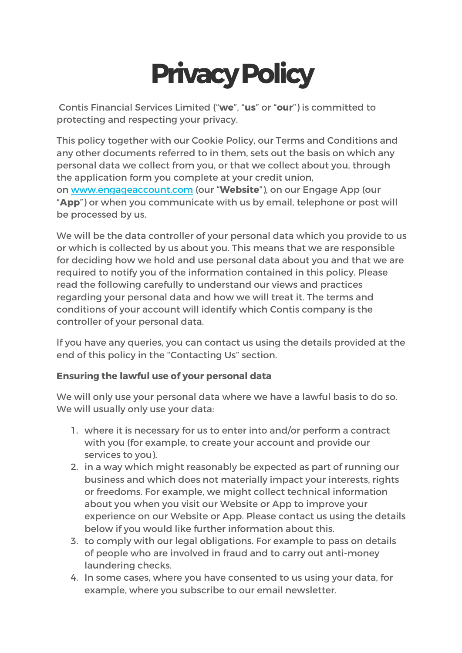# **PrivacyPolicy**

Contis Financial Services Limited ("**we**", "**us**" or "**our**") is committed to protecting and respecting your privacy.

This policy together with our Cookie Policy, our Terms and Conditions and any other documents referred to in them, sets out the basis on which any personal data we collect from you, or that we collect about you, through the application form you complete at your credit union, on www.engageaccount.com (our "**Website**"), on our Engage App (our "**App**") or when you communicate with us by email, telephone or post will be processed by us.

We will be the data controller of your personal data which you provide to us or which is collected by us about you. This means that we are responsible for deciding how we hold and use personal data about you and that we are required to notify you of the information contained in this policy. Please read the following carefully to understand our views and practices regarding your personal data and how we will treat it. The terms and conditions of your account will identify which Contis company is the controller of your personal data.

If you have any queries, you can contact us using the details provided at the end of this policy in the "Contacting Us" section.

# **Ensuring the lawful use of your personal data**

We will only use your personal data where we have a lawful basis to do so. We will usually only use your data:

- 1. where it is necessary for us to enter into and/or perform a contract with you (for example, to create your account and provide our services to you).
- 2. in a way which might reasonably be expected as part of running our business and which does not materially impact your interests, rights or freedoms. For example, we might collect technical information about you when you visit our Website or App to improve your experience on our Website or App. Please contact us using the details below if you would like further information about this.
- 3. to comply with our legal obligations. For example to pass on details of people who are involved in fraud and to carry out anti-money laundering checks.
- 4. In some cases, where you have consented to us using your data, for example, where you subscribe to our email newsletter.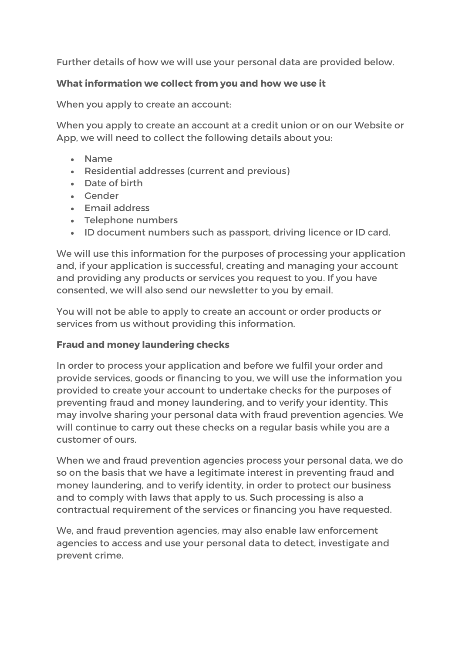Further details of how we will use your personal data are provided below.

# **What information we collect from you and how we use it**

When you apply to create an account:

When you apply to create an account at a credit union or on our Website or App, we will need to collect the following details about you:

- Name
- Residential addresses (current and previous)
- Date of birth
- Gender
- Email address
- Telephone numbers
- ID document numbers such as passport, driving licence or ID card.

We will use this information for the purposes of processing your application and, if your application is successful, creating and managing your account and providing any products or services you request to you. If you have consented, we will also send our newsletter to you by email.

You will not be able to apply to create an account or order products or services from us without providing this information.

# **Fraud and money laundering checks**

In order to process your application and before we fulfil your order and provide services, goods or financing to you, we will use the information you provided to create your account to undertake checks for the purposes of preventing fraud and money laundering, and to verify your identity. This may involve sharing your personal data with fraud prevention agencies. We will continue to carry out these checks on a regular basis while you are a customer of ours.

When we and fraud prevention agencies process your personal data, we do so on the basis that we have a legitimate interest in preventing fraud and money laundering, and to verify identity, in order to protect our business and to comply with laws that apply to us. Such processing is also a contractual requirement of the services or financing you have requested.

We, and fraud prevention agencies, may also enable law enforcement agencies to access and use your personal data to detect, investigate and prevent crime.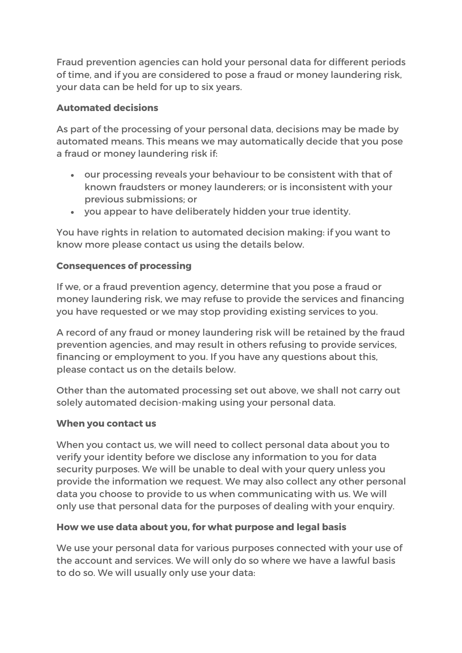Fraud prevention agencies can hold your personal data for different periods of time, and if you are considered to pose a fraud or money laundering risk, your data can be held for up to six years.

# **Automated decisions**

As part of the processing of your personal data, decisions may be made by automated means. This means we may automatically decide that you pose a fraud or money laundering risk if:

- our processing reveals your behaviour to be consistent with that of known fraudsters or money launderers; or is inconsistent with your previous submissions; or
- you appear to have deliberately hidden your true identity.

You have rights in relation to automated decision making: if you want to know more please contact us using the details below.

# **Consequences of processing**

If we, or a fraud prevention agency, determine that you pose a fraud or money laundering risk, we may refuse to provide the services and financing you have requested or we may stop providing existing services to you.

A record of any fraud or money laundering risk will be retained by the fraud prevention agencies, and may result in others refusing to provide services, financing or employment to you. If you have any questions about this, please contact us on the details below.

Other than the automated processing set out above, we shall not carry out solely automated decision-making using your personal data.

# **When you contact us**

When you contact us, we will need to collect personal data about you to verify your identity before we disclose any information to you for data security purposes. We will be unable to deal with your query unless you provide the information we request. We may also collect any other personal data you choose to provide to us when communicating with us. We will only use that personal data for the purposes of dealing with your enquiry.

# **How we use data about you, for what purpose and legal basis**

We use your personal data for various purposes connected with your use of the account and services. We will only do so where we have a lawful basis to do so. We will usually only use your data: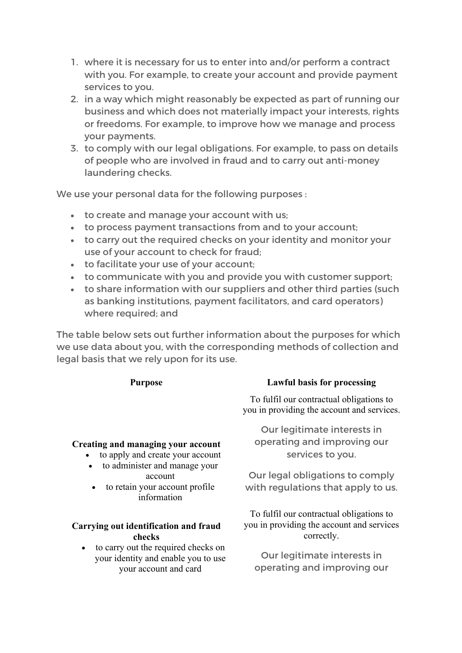- 1. where it is necessary for us to enter into and/or perform a contract with you. For example, to create your account and provide payment services to you.
- 2. in a way which might reasonably be expected as part of running our business and which does not materially impact your interests, rights or freedoms. For example, to improve how we manage and process your payments.
- 3. to comply with our legal obligations. For example, to pass on details of people who are involved in fraud and to carry out anti-money laundering checks.

We use your personal data for the following purposes :

- to create and manage your account with us;
- to process payment transactions from and to your account;
- to carry out the required checks on your identity and monitor your use of your account to check for fraud;
- to facilitate your use of your account;
- to communicate with you and provide you with customer support;
- to share information with our suppliers and other third parties (such as banking institutions, payment facilitators, and card operators) where required; and

The table below sets out further information about the purposes for which we use data about you, with the corresponding methods of collection and legal basis that we rely upon for its use.

### **Creating and managing your account**

- to apply and create your account
- to administer and manage your account
- to retain your account profile information

### **Carrying out identification and fraud checks**

• to carry out the required checks on your identity and enable you to use your account and card

# **Purpose Lawful basis for processing**

To fulfil our contractual obligations to you in providing the account and services.

Our legitimate interests in operating and improving our services to you.

Our legal obligations to comply with regulations that apply to us.

To fulfil our contractual obligations to you in providing the account and services correctly.

Our legitimate interests in operating and improving our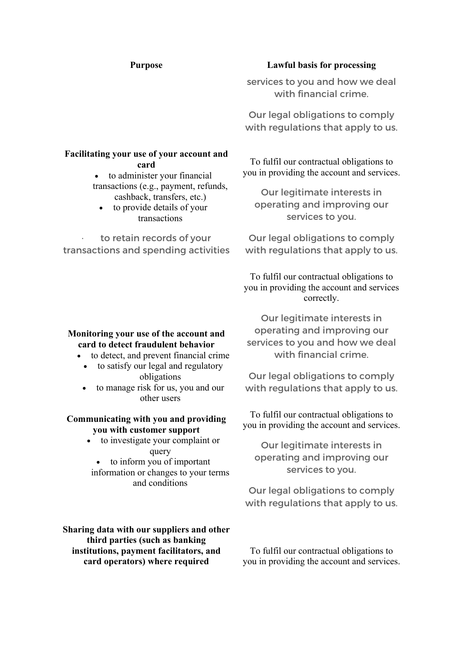## **Facilitating your use of your account and card**

• to administer your financial transactions (e.g., payment, refunds,

- cashback, transfers, etc.) to provide details of your
	- transactions

to retain records of your transactions and spending activities

#### **Purpose Lawful basis for processing**

services to you and how we deal with financial crime.

Our legal obligations to comply with regulations that apply to us.

To fulfil our contractual obligations to you in providing the account and services.

Our legitimate interests in operating and improving our services to you.

Our legal obligations to comply with regulations that apply to us.

To fulfil our contractual obligations to you in providing the account and services correctly.

Our legitimate interests in operating and improving our services to you and how we deal with financial crime.

Our legal obligations to comply with regulations that apply to us.

To fulfil our contractual obligations to you in providing the account and services.

Our legitimate interests in operating and improving our services to you.

Our legal obligations to comply with regulations that apply to us.

obligations • to manage risk for us, you and our other users

**Monitoring your use of the account and card to detect fraudulent behavior** • to detect, and prevent financial crime • to satisfy our legal and regulatory

#### **Communicating with you and providing you with customer support**

- to investigate your complaint or query
	- to inform you of important
- information or changes to your terms and conditions

**Sharing data with our suppliers and other third parties (such as banking institutions, payment facilitators, and card operators) where required**

To fulfil our contractual obligations to you in providing the account and services.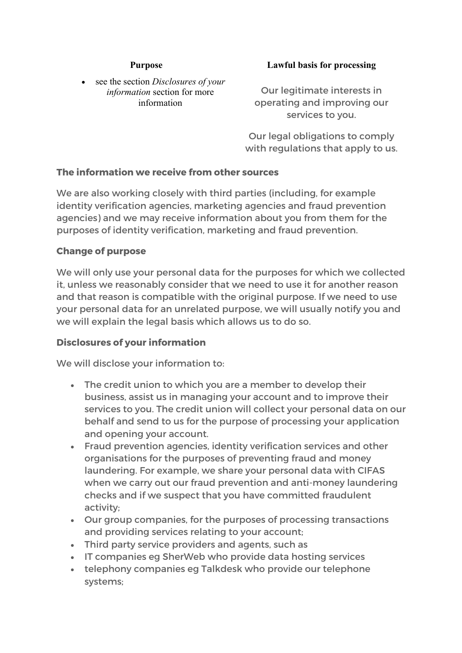• see the section *Disclosures of your information* section for more information

#### **Purpose Lawful basis for processing**

Our legitimate interests in operating and improving our services to you.

Our legal obligations to comply with regulations that apply to us.

# **The information we receive from other sources**

We are also working closely with third parties (including, for example identity verification agencies, marketing agencies and fraud prevention agencies) and we may receive information about you from them for the purposes of identity verification, marketing and fraud prevention.

## **Change of purpose**

We will only use your personal data for the purposes for which we collected it, unless we reasonably consider that we need to use it for another reason and that reason is compatible with the original purpose. If we need to use your personal data for an unrelated purpose, we will usually notify you and we will explain the legal basis which allows us to do so.

# **Disclosures of your information**

We will disclose your information to:

- The credit union to which you are a member to develop their business, assist us in managing your account and to improve their services to you. The credit union will collect your personal data on our behalf and send to us for the purpose of processing your application and opening your account.
- Fraud prevention agencies, identity verification services and other organisations for the purposes of preventing fraud and money laundering. For example, we share your personal data with CIFAS when we carry out our fraud prevention and anti-money laundering checks and if we suspect that you have committed fraudulent activity;
- Our group companies, for the purposes of processing transactions and providing services relating to your account;
- Third party service providers and agents, such as
- IT companies eg SherWeb who provide data hosting services
- telephony companies eg Talkdesk who provide our telephone systems;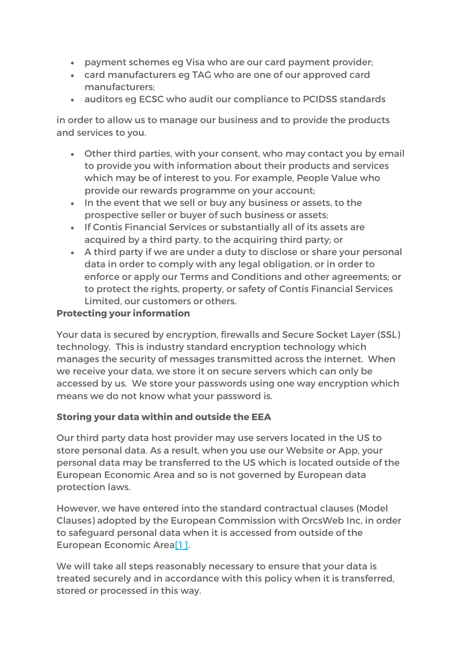- payment schemes eg Visa who are our card payment provider;
- card manufacturers eg TAG who are one of our approved card manufacturers;
- auditors eg ECSC who audit our compliance to PCIDSS standards

in order to allow us to manage our business and to provide the products and services to you.

- Other third parties, with your consent, who may contact you by email to provide you with information about their products and services which may be of interest to you. For example, People Value who provide our rewards programme on your account;
- In the event that we sell or buy any business or assets, to the prospective seller or buyer of such business or assets;
- If Contis Financial Services or substantially all of its assets are acquired by a third party, to the acquiring third party; or
- A third party if we are under a duty to disclose or share your personal data in order to comply with any legal obligation, or in order to enforce or apply our Terms and Conditions and other agreements; or to protect the rights, property, or safety of Contis Financial Services Limited, our customers or others.

# **Protecting your information**

Your data is secured by encryption, firewalls and Secure Socket Layer (SSL) technology. This is industry standard encryption technology which manages the security of messages transmitted across the internet. When we receive your data, we store it on secure servers which can only be accessed by us. We store your passwords using one way encryption which means we do not know what your password is.

# **Storing your data within and outside the EEA**

Our third party data host provider may use servers located in the US to store personal data. As a result, when you use our Website or App, your personal data may be transferred to the US which is located outside of the European Economic Area and so is not governed by European data protection laws.

However, we have entered into the standard contractual clauses (Model Clauses) adopted by the European Commission with OrcsWeb Inc, in order to safeguard personal data when it is accessed from outside of the European Economic Area[1].

We will take all steps reasonably necessary to ensure that your data is treated securely and in accordance with this policy when it is transferred, stored or processed in this way.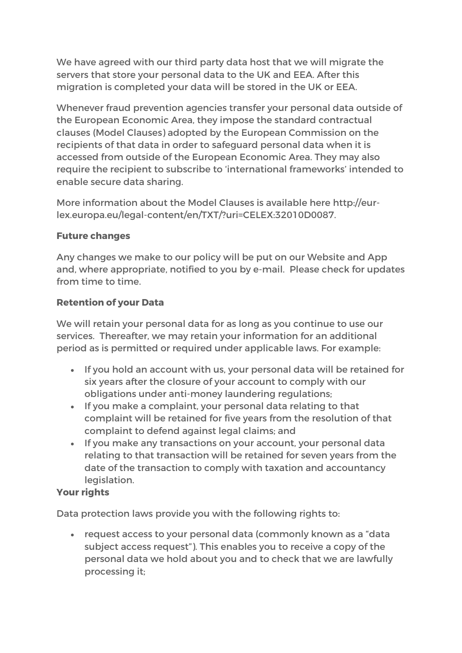We have agreed with our third party data host that we will migrate the servers that store your personal data to the UK and EEA. After this migration is completed your data will be stored in the UK or EEA.

Whenever fraud prevention agencies transfer your personal data outside of the European Economic Area, they impose the standard contractual clauses (Model Clauses) adopted by the European Commission on the recipients of that data in order to safeguard personal data when it is accessed from outside of the European Economic Area. They may also require the recipient to subscribe to 'international frameworks' intended to enable secure data sharing.

More information about the Model Clauses is available here http://eurlex.europa.eu/legal-content/en/TXT/?uri=CELEX:32010D0087.

# **Future changes**

Any changes we make to our policy will be put on our Website and App and, where appropriate, notified to you by e-mail. Please check for updates from time to time.

# **Retention of your Data**

We will retain your personal data for as long as you continue to use our services. Thereafter, we may retain your information for an additional period as is permitted or required under applicable laws. For example:

- If you hold an account with us, your personal data will be retained for six years after the closure of your account to comply with our obligations under anti-money laundering regulations;
- If you make a complaint, your personal data relating to that complaint will be retained for five years from the resolution of that complaint to defend against legal claims; and
- If you make any transactions on your account, your personal data relating to that transaction will be retained for seven years from the date of the transaction to comply with taxation and accountancy legislation.

# **Your rights**

Data protection laws provide you with the following rights to:

• request access to your personal data (commonly known as a "data subject access request"). This enables you to receive a copy of the personal data we hold about you and to check that we are lawfully processing it;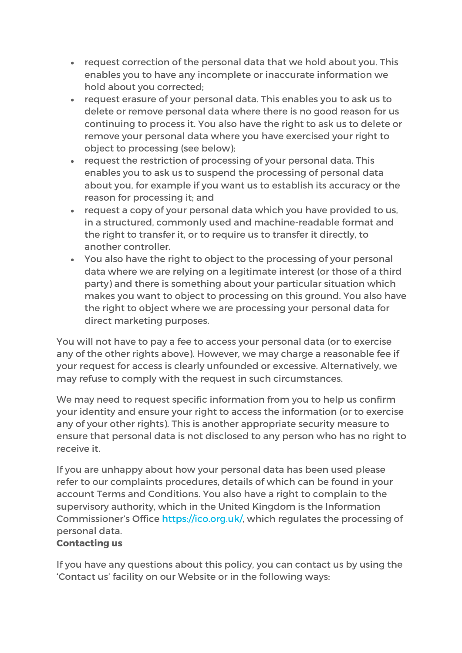- request correction of the personal data that we hold about you. This enables you to have any incomplete or inaccurate information we hold about you corrected;
- request erasure of your personal data. This enables you to ask us to delete or remove personal data where there is no good reason for us continuing to process it. You also have the right to ask us to delete or remove your personal data where you have exercised your right to object to processing (see below);
- request the restriction of processing of your personal data. This enables you to ask us to suspend the processing of personal data about you, for example if you want us to establish its accuracy or the reason for processing it; and
- request a copy of your personal data which you have provided to us, in a structured, commonly used and machine-readable format and the right to transfer it, or to require us to transfer it directly, to another controller.
- You also have the right to object to the processing of your personal data where we are relying on a legitimate interest (or those of a third party) and there is something about your particular situation which makes you want to object to processing on this ground. You also have the right to object where we are processing your personal data for direct marketing purposes.

You will not have to pay a fee to access your personal data (or to exercise any of the other rights above). However, we may charge a reasonable fee if your request for access is clearly unfounded or excessive. Alternatively, we may refuse to comply with the request in such circumstances.

We may need to request specific information from you to help us confirm your identity and ensure your right to access the information (or to exercise any of your other rights). This is another appropriate security measure to ensure that personal data is not disclosed to any person who has no right to receive it.

If you are unhappy about how your personal data has been used please refer to our complaints procedures, details of which can be found in your account Terms and Conditions. You also have a right to complain to the supervisory authority, which in the United Kingdom is the Information Commissioner's Office https://ico.org.uk/, which regulates the processing of personal data.

# **Contacting us**

If you have any questions about this policy, you can contact us by using the 'Contact us' facility on our Website or in the following ways: